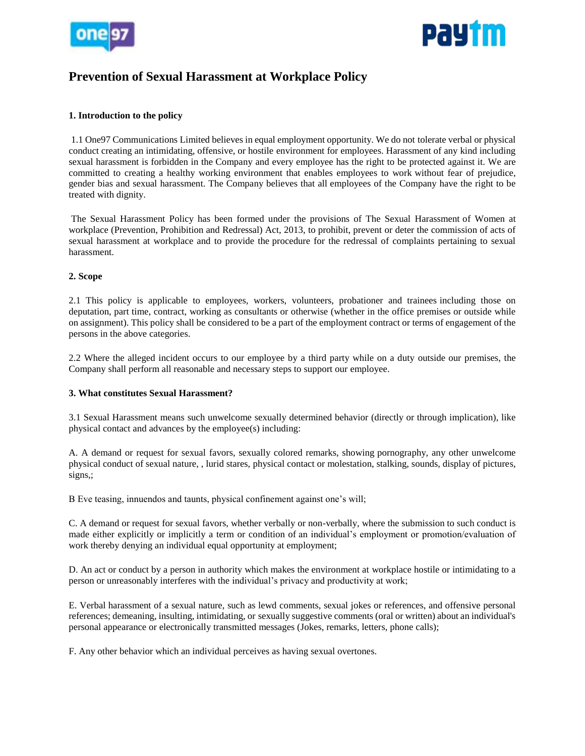



# **Prevention of Sexual Harassment at Workplace Policy**

## **1. Introduction to the policy**

1.1 One97 Communications Limited believes in equal employment opportunity. We do not tolerate verbal or physical conduct creating an intimidating, offensive, or hostile environment for employees. Harassment of any kind including sexual harassment is forbidden in the Company and every employee has the right to be protected against it. We are committed to creating a healthy working environment that enables employees to work without fear of prejudice, gender bias and sexual harassment. The Company believes that all employees of the Company have the right to be treated with dignity.

The Sexual Harassment Policy has been formed under the provisions of The Sexual Harassment of Women at workplace (Prevention, Prohibition and Redressal) Act, 2013, to prohibit, prevent or deter the commission of acts of sexual harassment at workplace and to provide the procedure for the redressal of complaints pertaining to sexual harassment.

## **2. Scope**

2.1 This policy is applicable to employees, workers, volunteers, probationer and trainees including those on deputation, part time, contract, working as consultants or otherwise (whether in the office premises or outside while on assignment). This policy shall be considered to be a part of the employment contract or terms of engagement of the persons in the above categories.

2.2 Where the alleged incident occurs to our employee by a third party while on a duty outside our premises, the Company shall perform all reasonable and necessary steps to support our employee.

## **3. What constitutes Sexual Harassment?**

3.1 Sexual Harassment means such unwelcome sexually determined behavior (directly or through implication), like physical contact and advances by the employee(s) including:

A. A demand or request for sexual favors, sexually colored remarks, showing pornography, any other unwelcome physical conduct of sexual nature, , lurid stares, physical contact or molestation, stalking, sounds, display of pictures, signs,;

B Eve teasing, innuendos and taunts, physical confinement against one's will;

C. A demand or request for sexual favors, whether verbally or non-verbally, where the submission to such conduct is made either explicitly or implicitly a term or condition of an individual's employment or promotion/evaluation of work thereby denying an individual equal opportunity at employment;

D. An act or conduct by a person in authority which makes the environment at workplace hostile or intimidating to a person or unreasonably interferes with the individual's privacy and productivity at work;

E. Verbal harassment of a sexual nature, such as lewd comments, sexual jokes or references, and offensive personal references; demeaning, insulting, intimidating, or sexually suggestive comments (oral or written) about an individual's personal appearance or electronically transmitted messages (Jokes, remarks, letters, phone calls);

F. Any other behavior which an individual perceives as having sexual overtones.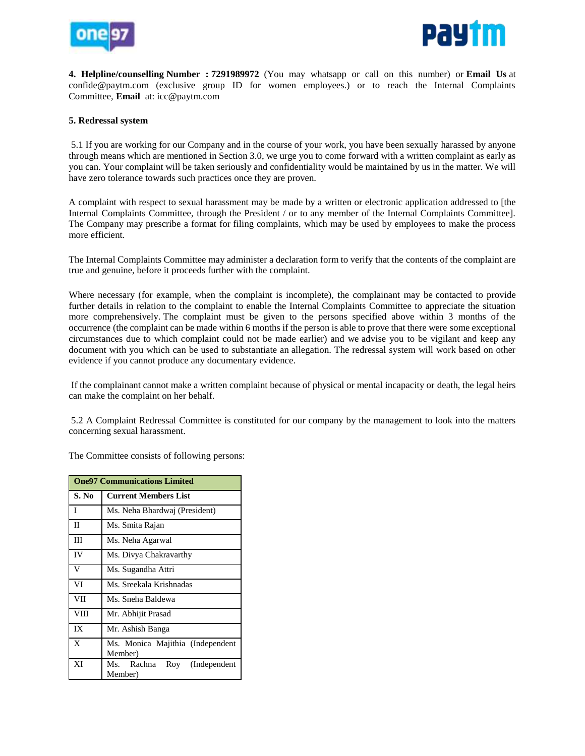



**4. Helpline/counselling Number : 7291989972** (You may whatsapp or call on this number) or **Email Us** at confide@paytm.com (exclusive group ID for women employees.) or to reach the Internal Complaints Committee, **Email** at: icc@paytm.com

#### **5. Redressal system**

5.1 If you are working for our Company and in the course of your work, you have been sexually harassed by anyone through means which are mentioned in Section 3.0, we urge you to come forward with a written complaint as early as you can. Your complaint will be taken seriously and confidentiality would be maintained by us in the matter. We will have zero tolerance towards such practices once they are proven.

A complaint with respect to sexual harassment may be made by a written or electronic application addressed to [the Internal Complaints Committee, through the President / or to any member of the Internal Complaints Committee]. The Company may prescribe a format for filing complaints, which may be used by employees to make the process more efficient.

The Internal Complaints Committee may administer a declaration form to verify that the contents of the complaint are true and genuine, before it proceeds further with the complaint.

Where necessary (for example, when the complaint is incomplete), the complainant may be contacted to provide further details in relation to the complaint to enable the Internal Complaints Committee to appreciate the situation more comprehensively. The complaint must be given to the persons specified above within 3 months of the occurrence (the complaint can be made within 6 months if the person is able to prove that there were some exceptional circumstances due to which complaint could not be made earlier) and we advise you to be vigilant and keep any document with you which can be used to substantiate an allegation. The redressal system will work based on other evidence if you cannot produce any documentary evidence.

If the complainant cannot make a written complaint because of physical or mental incapacity or death, the legal heirs can make the complaint on her behalf.

5.2 A Complaint Redressal Committee is constituted for our company by the management to look into the matters concerning sexual harassment.

The Committee consists of following persons:

| <b>One97 Communications Limited</b> |                                             |
|-------------------------------------|---------------------------------------------|
| S. No                               | <b>Current Members List</b>                 |
| I                                   | Ms. Neha Bhardwaj (President)               |
| П                                   | Ms. Smita Rajan                             |
| Ш                                   | Ms. Neha Agarwal                            |
| IV                                  | Ms. Divya Chakravarthy                      |
| V                                   | Ms. Sugandha Attri                          |
| VI                                  | Ms. Sreekala Krishnadas                     |
| VII                                 | Ms. Sneha Baldewa                           |
| <b>VIII</b>                         | Mr. Abhijit Prasad                          |
| IX                                  | Mr. Ashish Banga                            |
| X                                   | Ms. Monica Majithia (Independent<br>Member) |
| XI                                  | Rachna Roy (Independent<br>Ms.<br>Member)   |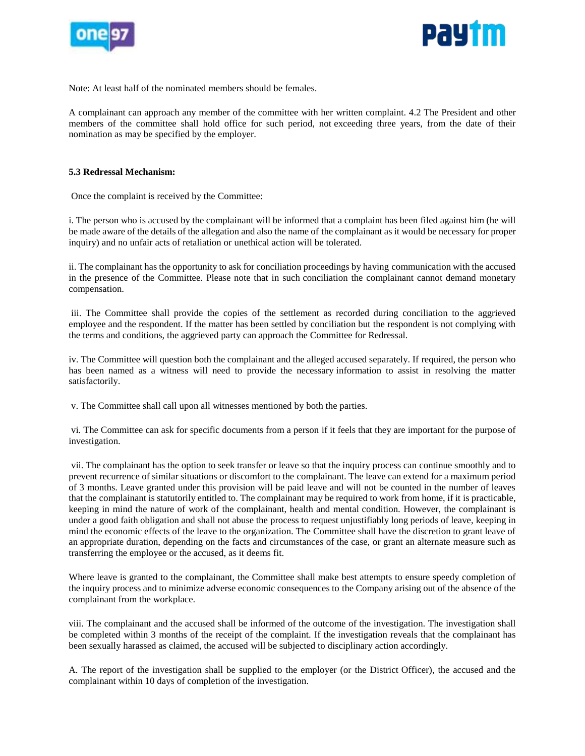



Note: At least half of the nominated members should be females.

A complainant can approach any member of the committee with her written complaint. 4.2 The President and other members of the committee shall hold office for such period, not exceeding three years, from the date of their nomination as may be specified by the employer.

#### **5.3 Redressal Mechanism:**

Once the complaint is received by the Committee:

i. The person who is accused by the complainant will be informed that a complaint has been filed against him (he will be made aware of the details of the allegation and also the name of the complainant as it would be necessary for proper inquiry) and no unfair acts of retaliation or unethical action will be tolerated.

ii. The complainant has the opportunity to ask for conciliation proceedings by having communication with the accused in the presence of the Committee. Please note that in such conciliation the complainant cannot demand monetary compensation.

iii. The Committee shall provide the copies of the settlement as recorded during conciliation to the aggrieved employee and the respondent. If the matter has been settled by conciliation but the respondent is not complying with the terms and conditions, the aggrieved party can approach the Committee for Redressal.

iv. The Committee will question both the complainant and the alleged accused separately. If required, the person who has been named as a witness will need to provide the necessary information to assist in resolving the matter satisfactorily.

v. The Committee shall call upon all witnesses mentioned by both the parties.

vi. The Committee can ask for specific documents from a person if it feels that they are important for the purpose of investigation.

vii. The complainant has the option to seek transfer or leave so that the inquiry process can continue smoothly and to prevent recurrence of similar situations or discomfort to the complainant. The leave can extend for a maximum period of 3 months. Leave granted under this provision will be paid leave and will not be counted in the number of leaves that the complainant is statutorily entitled to. The complainant may be required to work from home, if it is practicable, keeping in mind the nature of work of the complainant, health and mental condition. However, the complainant is under a good faith obligation and shall not abuse the process to request unjustifiably long periods of leave, keeping in mind the economic effects of the leave to the organization. The Committee shall have the discretion to grant leave of an appropriate duration, depending on the facts and circumstances of the case, or grant an alternate measure such as transferring the employee or the accused, as it deems fit.

Where leave is granted to the complainant, the Committee shall make best attempts to ensure speedy completion of the inquiry process and to minimize adverse economic consequences to the Company arising out of the absence of the complainant from the workplace.

viii. The complainant and the accused shall be informed of the outcome of the investigation. The investigation shall be completed within 3 months of the receipt of the complaint. If the investigation reveals that the complainant has been sexually harassed as claimed, the accused will be subjected to disciplinary action accordingly.

A. The report of the investigation shall be supplied to the employer (or the District Officer), the accused and the complainant within 10 days of completion of the investigation.